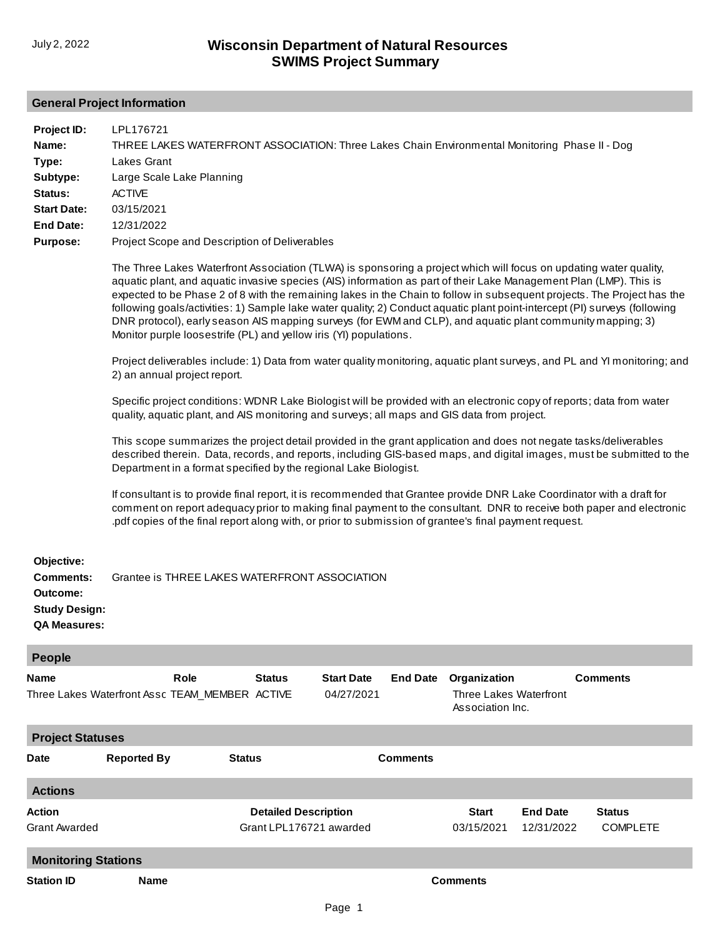## **General Project Information**

| Project ID:<br>Name:<br>Type:<br>Subtype:<br>Status:<br><b>Start Date:</b><br><b>End Date:</b><br><b>Purpose:</b> | LPL176721<br>THREE LAKES WATERFRONT ASSOCIATION: Three Lakes Chain Environmental Monitoring Phase II - Dog<br><b>Lakes Grant</b><br>Large Scale Lake Planning<br><b>ACTIVE</b><br>03/15/2021<br>12/31/2022<br>Project Scope and Description of Deliverables<br>The Three Lakes Waterfront Association (TLWA) is sponsoring a project which will focus on updating water quality,<br>aquatic plant, and aquatic invasive species (AIS) information as part of their Lake Management Plan (LMP). This is<br>expected to be Phase 2 of 8 with the remaining lakes in the Chain to follow in subsequent projects. The Project has the<br>following goals/activities: 1) Sample lake water quality; 2) Conduct aquatic plant point-intercept (PI) surveys (following<br>DNR protocol), early season AIS mapping surveys (for EWM and CLP), and aquatic plant community mapping; 3)<br>Monitor purple loosestrife (PL) and yellow iris (YI) populations.<br>Project deliverables include: 1) Data from water quality monitoring, aquatic plant surveys, and PL and YI monitoring; and<br>2) an annual project report.<br>Specific project conditions: WDNR Lake Biologist will be provided with an electronic copy of reports; data from water<br>quality, aquatic plant, and AIS monitoring and surveys; all maps and GIS data from project.<br>This scope summarizes the project detail provided in the grant application and does not negate tasks/deliverables<br>described therein. Data, records, and reports, including GIS-based maps, and digital images, must be submitted to the<br>Department in a format specified by the regional Lake Biologist.<br>If consultant is to provide final report, it is recommended that Grantee provide DNR Lake Coordinator with a draft for<br>comment on report adequacy prior to making final payment to the consultant. DNR to receive both paper and electronic<br>pdf copies of the final report along with, or prior to submission of grantee's final payment request. |                                                        |                                 |                 |                                                                   |                               |                           |  |  |
|-------------------------------------------------------------------------------------------------------------------|----------------------------------------------------------------------------------------------------------------------------------------------------------------------------------------------------------------------------------------------------------------------------------------------------------------------------------------------------------------------------------------------------------------------------------------------------------------------------------------------------------------------------------------------------------------------------------------------------------------------------------------------------------------------------------------------------------------------------------------------------------------------------------------------------------------------------------------------------------------------------------------------------------------------------------------------------------------------------------------------------------------------------------------------------------------------------------------------------------------------------------------------------------------------------------------------------------------------------------------------------------------------------------------------------------------------------------------------------------------------------------------------------------------------------------------------------------------------------------------------------------------------------------------------------------------------------------------------------------------------------------------------------------------------------------------------------------------------------------------------------------------------------------------------------------------------------------------------------------------------------------------------------------------------------------------------------------------------------------------------------------------------|--------------------------------------------------------|---------------------------------|-----------------|-------------------------------------------------------------------|-------------------------------|---------------------------|--|--|
| Objective:<br><b>Comments:</b><br>Outcome:<br><b>Study Design:</b><br><b>QA Measures:</b>                         | Grantee is THREE LAKES WATERFRONT ASSOCIATION                                                                                                                                                                                                                                                                                                                                                                                                                                                                                                                                                                                                                                                                                                                                                                                                                                                                                                                                                                                                                                                                                                                                                                                                                                                                                                                                                                                                                                                                                                                                                                                                                                                                                                                                                                                                                                                                                                                                                                        |                                                        |                                 |                 |                                                                   |                               |                           |  |  |
| <b>People</b>                                                                                                     |                                                                                                                                                                                                                                                                                                                                                                                                                                                                                                                                                                                                                                                                                                                                                                                                                                                                                                                                                                                                                                                                                                                                                                                                                                                                                                                                                                                                                                                                                                                                                                                                                                                                                                                                                                                                                                                                                                                                                                                                                      |                                                        |                                 |                 |                                                                   |                               |                           |  |  |
| Name                                                                                                              | <b>Role</b><br>Three Lakes Waterfront Assc TEAM_MEMBER_ACTIVE                                                                                                                                                                                                                                                                                                                                                                                                                                                                                                                                                                                                                                                                                                                                                                                                                                                                                                                                                                                                                                                                                                                                                                                                                                                                                                                                                                                                                                                                                                                                                                                                                                                                                                                                                                                                                                                                                                                                                        | <b>Status</b>                                          | <b>Start Date</b><br>04/27/2021 | <b>End Date</b> | Organization<br><b>Three Lakes Waterfront</b><br>Association Inc. |                               | <b>Comments</b>           |  |  |
| <b>Project Statuses</b>                                                                                           |                                                                                                                                                                                                                                                                                                                                                                                                                                                                                                                                                                                                                                                                                                                                                                                                                                                                                                                                                                                                                                                                                                                                                                                                                                                                                                                                                                                                                                                                                                                                                                                                                                                                                                                                                                                                                                                                                                                                                                                                                      |                                                        |                                 |                 |                                                                   |                               |                           |  |  |
| Date                                                                                                              | <b>Reported By</b>                                                                                                                                                                                                                                                                                                                                                                                                                                                                                                                                                                                                                                                                                                                                                                                                                                                                                                                                                                                                                                                                                                                                                                                                                                                                                                                                                                                                                                                                                                                                                                                                                                                                                                                                                                                                                                                                                                                                                                                                   | <b>Status</b>                                          |                                 | <b>Comments</b> |                                                                   |                               |                           |  |  |
| <b>Actions</b>                                                                                                    |                                                                                                                                                                                                                                                                                                                                                                                                                                                                                                                                                                                                                                                                                                                                                                                                                                                                                                                                                                                                                                                                                                                                                                                                                                                                                                                                                                                                                                                                                                                                                                                                                                                                                                                                                                                                                                                                                                                                                                                                                      |                                                        |                                 |                 |                                                                   |                               |                           |  |  |
| Action<br>Grant Awarded                                                                                           |                                                                                                                                                                                                                                                                                                                                                                                                                                                                                                                                                                                                                                                                                                                                                                                                                                                                                                                                                                                                                                                                                                                                                                                                                                                                                                                                                                                                                                                                                                                                                                                                                                                                                                                                                                                                                                                                                                                                                                                                                      | <b>Detailed Description</b><br>Grant LPL176721 awarded |                                 |                 | <b>Start</b><br>03/15/2021                                        | <b>End Date</b><br>12/31/2022 | Status<br><b>COMPLETE</b> |  |  |
| <b>Monitoring Stations</b>                                                                                        |                                                                                                                                                                                                                                                                                                                                                                                                                                                                                                                                                                                                                                                                                                                                                                                                                                                                                                                                                                                                                                                                                                                                                                                                                                                                                                                                                                                                                                                                                                                                                                                                                                                                                                                                                                                                                                                                                                                                                                                                                      |                                                        |                                 |                 |                                                                   |                               |                           |  |  |
| <b>Station ID</b>                                                                                                 | <b>Name</b>                                                                                                                                                                                                                                                                                                                                                                                                                                                                                                                                                                                                                                                                                                                                                                                                                                                                                                                                                                                                                                                                                                                                                                                                                                                                                                                                                                                                                                                                                                                                                                                                                                                                                                                                                                                                                                                                                                                                                                                                          |                                                        |                                 |                 | <b>Comments</b>                                                   |                               |                           |  |  |